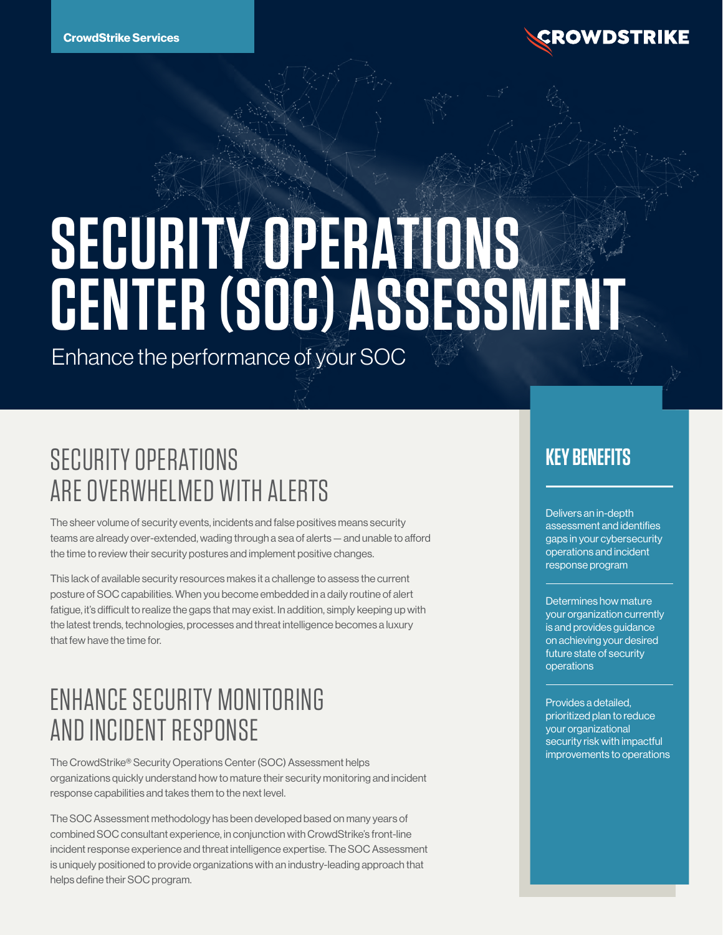

# **SECURITY OPERATIONS CENTER (SOC) ASSESSMENT**

Enhance the performance of your SOC

# SECURITY OPERATIONS ARE OVERWHELMED WITH ALERTS

The sheer volume of security events, incidents and false positives means security teams are already over-extended, wading through a sea of alerts — and unable to afford the time to review their security postures and implement positive changes.

This lack of available security resources makes it a challenge to assess the current posture of SOC capabilities. When you become embedded in a daily routine of alert fatigue, it's difficult to realize the gaps that may exist. In addition, simply keeping up with the latest trends, technologies, processes and threat intelligence becomes a luxury that few have the time for.

## ENHANCE SECURITY MONITORING AND INCIDENT RESPONSE

The CrowdStrike® Security Operations Center (SOC) Assessment helps organizations quickly understand how to mature their security monitoring and incident response capabilities and takes them to the next level.

The SOC Assessment methodology has been developed based on many years of combined SOC consultant experience, in conjunction with CrowdStrike's front-line incident response experience and threat intelligence expertise. The SOC Assessment is uniquely positioned to provide organizations with an industry-leading approach that helps define their SOC program.

#### **KEY BENEFITS**

Delivers an in-depth assessment and identifies gaps in your cybersecurity operations and incident response program

Determines how mature your organization currently is and provides guidance on achieving your desired future state of security operations

Provides a detailed, prioritized plan to reduce your organizational security risk with impactful improvements to operations